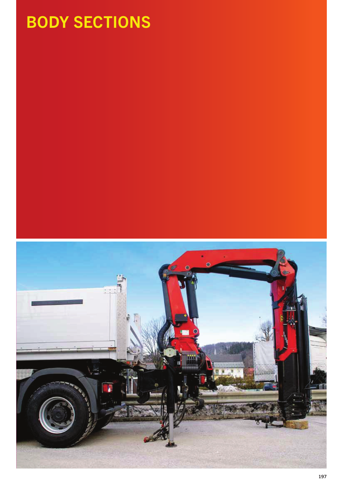# BODY SECTIONS

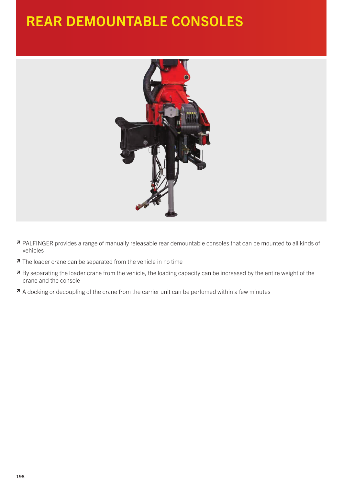## REAR DEMOUNTABLE CONSOLES



- <sup>≥</sup> PALFINGER provides a range of manually releasable rear demountable consoles that can be mounted to all kinds of vehicles
- <sup>≥</sup> The loader crane can be separated from the vehicle in no time
- <sup>≥</sup> By separating the loader crane from the vehicle, the loading capacity can be increased by the entire weight of the crane and the console
- <sup>≥</sup> A docking or decoupling of the crane from the carrier unit can be perfomed within a few minutes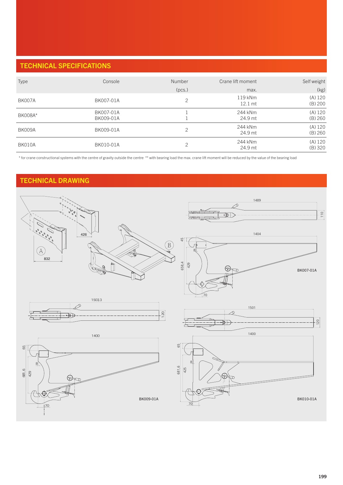### TECHNICAL SPECIFICATIONS

| Type           | Console                | <b>Number</b> | Crane lift moment              | Self weight          |
|----------------|------------------------|---------------|--------------------------------|----------------------|
|                |                        | (pcs.)        | max.                           | (kg)                 |
| <b>BK007A</b>  | BK007-01A              | ⌒             | $119$ kNm<br>$12.1 \text{ mt}$ | (A) 120<br>(B) 200   |
| <b>BK008A*</b> | BK007-01A<br>BK009-01A |               | 244 kNm<br>24.9 mt             | (A) 120<br>(B) 260   |
| <b>BK009A</b>  | BK009-01A              | っ             | 244 kNm<br>24.9 mt             | (A) 120<br>(B) 260   |
| BK010A         | BK010-01A              |               | 244 kNm<br>24.9 mt             | (A) 120<br>$(B)$ 320 |

\* for crane constructional systems with the centre of gravity outside the centre \*\* with bearing load the max. crane lift moment will be reduced by the value of the bearing load

#### TECHNICAL DRAWING

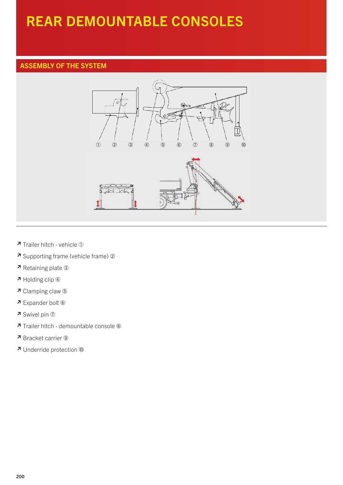# REAR DEMOUNTABLE CONSOLES

#### ASSEMBLY OF THE SYSTEM



- <sup>≥</sup> Trailer hitch vehicle
- <sup>≥</sup> Supporting frame (vehicle frame)
- <sup>≥</sup> Retaining plate
- <sup>≥</sup> Holding clip
- <sup>≥</sup> Clamping claw
- <sup>≥</sup> Expander bolt
- <sup>≥</sup> Swivel pin
- <sup>≥</sup> Trailer hitch demountable console
- <sup>≥</sup> Bracket carrier
- <sup>≥</sup> Underride protection